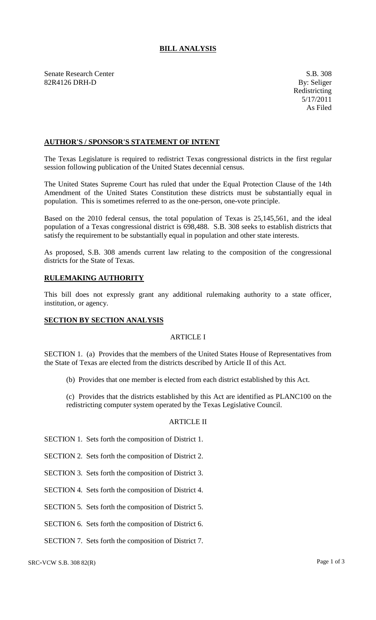# **BILL ANALYSIS**

Senate Research Center S.B. 308 82R4126 DRH-D By: Seliger

## **AUTHOR'S / SPONSOR'S STATEMENT OF INTENT**

The Texas Legislature is required to redistrict Texas congressional districts in the first regular session following publication of the United States decennial census.

The United States Supreme Court has ruled that under the Equal Protection Clause of the 14th Amendment of the United States Constitution these districts must be substantially equal in population. This is sometimes referred to as the one-person, one-vote principle.

Based on the 2010 federal census, the total population of Texas is 25,145,561, and the ideal population of a Texas congressional district is 698,488. S.B. 308 seeks to establish districts that satisfy the requirement to be substantially equal in population and other state interests.

As proposed, S.B. 308 amends current law relating to the composition of the congressional districts for the State of Texas.

# **RULEMAKING AUTHORITY**

This bill does not expressly grant any additional rulemaking authority to a state officer, institution, or agency.

### **SECTION BY SECTION ANALYSIS**

## ARTICLE I

SECTION 1. (a) Provides that the members of the United States House of Representatives from the State of Texas are elected from the districts described by Article II of this Act.

(b) Provides that one member is elected from each district established by this Act.

(c) Provides that the districts established by this Act are identified as PLANC100 on the redistricting computer system operated by the Texas Legislative Council.

### ARTICLE II

- SECTION 1. Sets forth the composition of District 1.
- SECTION 2. Sets forth the composition of District 2.
- SECTION 3. Sets forth the composition of District 3.
- SECTION 4. Sets forth the composition of District 4.
- SECTION 5. Sets forth the composition of District 5.
- SECTION 6. Sets forth the composition of District 6.
- SECTION 7. Sets forth the composition of District 7.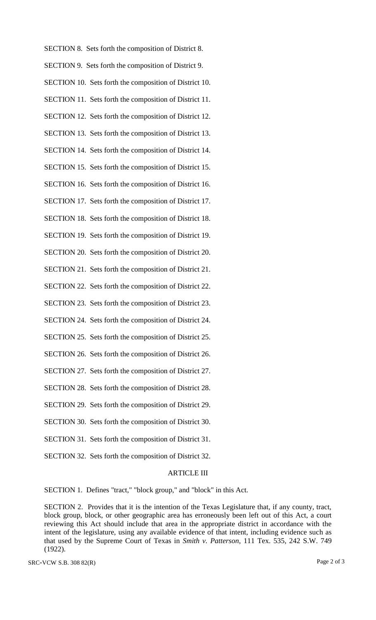| SECTION 8. Sets forth the composition of District 8.   |
|--------------------------------------------------------|
| SECTION 9. Sets forth the composition of District 9.   |
| SECTION 10. Sets forth the composition of District 10. |
| SECTION 11. Sets forth the composition of District 11. |
| SECTION 12. Sets forth the composition of District 12. |
| SECTION 13. Sets forth the composition of District 13. |
| SECTION 14. Sets forth the composition of District 14. |
| SECTION 15. Sets forth the composition of District 15. |
| SECTION 16. Sets forth the composition of District 16. |
| SECTION 17. Sets forth the composition of District 17. |
| SECTION 18. Sets forth the composition of District 18. |
| SECTION 19. Sets forth the composition of District 19. |
| SECTION 20. Sets forth the composition of District 20. |
| SECTION 21. Sets forth the composition of District 21. |
| SECTION 22. Sets forth the composition of District 22. |
| SECTION 23. Sets forth the composition of District 23. |
| SECTION 24. Sets forth the composition of District 24. |
| SECTION 25. Sets forth the composition of District 25. |
| SECTION 26. Sets forth the composition of District 26. |
| SECTION 27. Sets forth the composition of District 27. |
| SECTION 28. Sets forth the composition of District 28. |
| SECTION 29. Sets forth the composition of District 29. |

- SECTION 30. Sets forth the composition of District 30.
- SECTION 31. Sets forth the composition of District 31.
- SECTION 32. Sets forth the composition of District 32.

#### ARTICLE III

SECTION 1. Defines "tract," "block group," and "block" in this Act.

SECTION 2. Provides that it is the intention of the Texas Legislature that, if any county, tract, block group, block, or other geographic area has erroneously been left out of this Act, a court reviewing this Act should include that area in the appropriate district in accordance with the intent of the legislature, using any available evidence of that intent, including evidence such as that used by the Supreme Court of Texas in *Smith v. Patterson*, 111 Tex. 535, 242 S.W. 749 (1922).